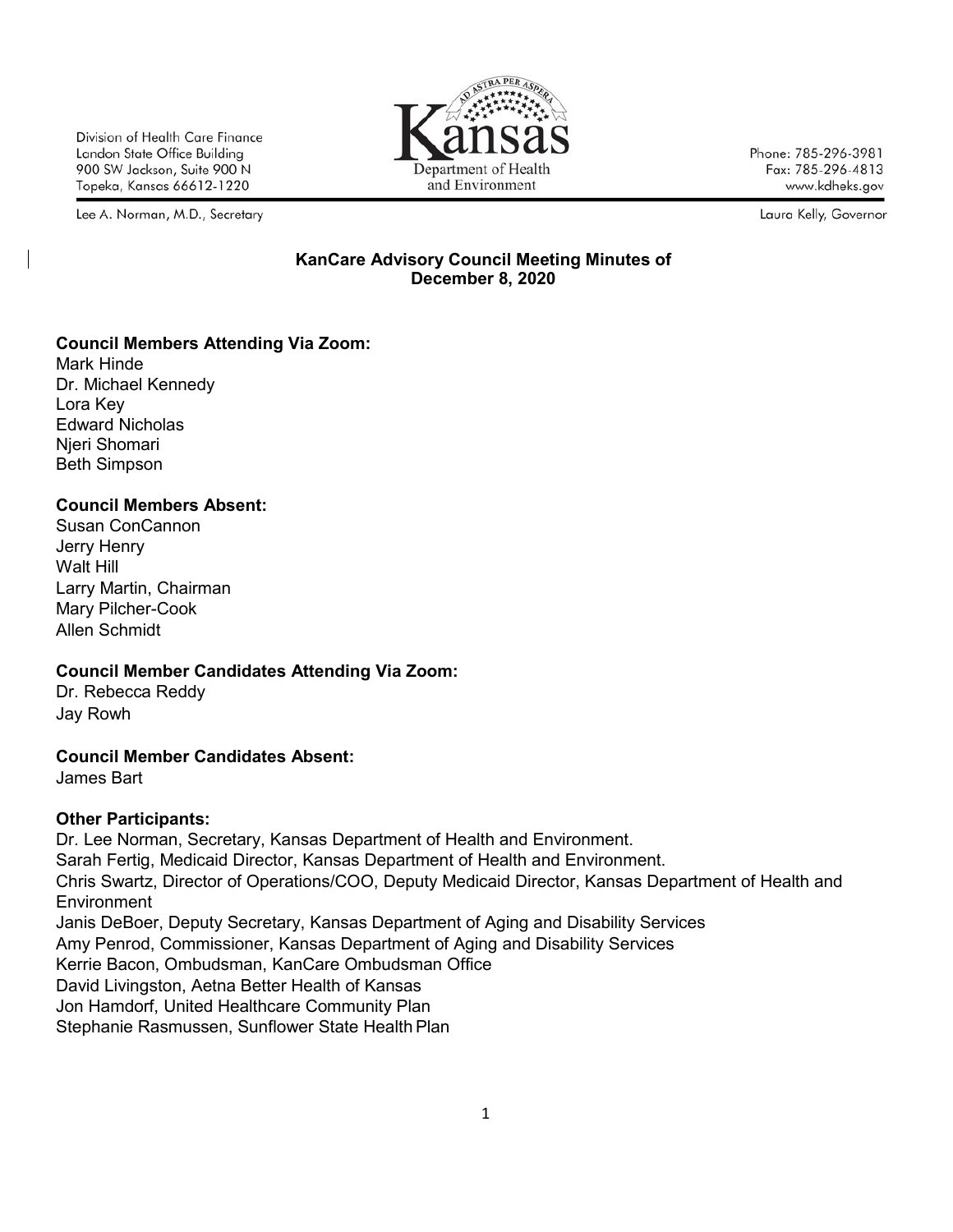Division of Health Care Finance Landon State Office Building 900 SW Jackson, Suite 900 N Topeka, Kansas 66612-1220

Lee A. Norman, M.D., Secretary



Phone: 785-296-3981 Fax: 785-296-4813 www.kdheks.gov

Laura Kelly, Governor

#### **KanCare Advisory Council Meeting Minutes of December 8, 2020**

# **Council Members Attending Via Zoom:**

Mark Hinde Dr. Michael Kennedy Lora Key Edward Nicholas Njeri Shomari Beth Simpson

# **Council Members Absent:**

Susan ConCannon Jerry Henry Walt Hill Larry Martin, Chairman Mary Pilcher-Cook Allen Schmidt

# **Council Member Candidates Attending Via Zoom:**

Dr. Rebecca Reddy Jay Rowh

# **Council Member Candidates Absent:**

James Bart

# **Other Participants:**

Dr. Lee Norman, Secretary, Kansas Department of Health and Environment. Sarah Fertig, Medicaid Director, Kansas Department of Health and Environment. Chris Swartz, Director of Operations/COO, Deputy Medicaid Director, Kansas Department of Health and Environment Janis DeBoer, Deputy Secretary, Kansas Department of Aging and Disability Services Amy Penrod, Commissioner, Kansas Department of Aging and Disability Services Kerrie Bacon, Ombudsman, KanCare Ombudsman Office David Livingston, Aetna Better Health of Kansas Jon Hamdorf, United Healthcare Community Plan Stephanie Rasmussen, Sunflower State Health Plan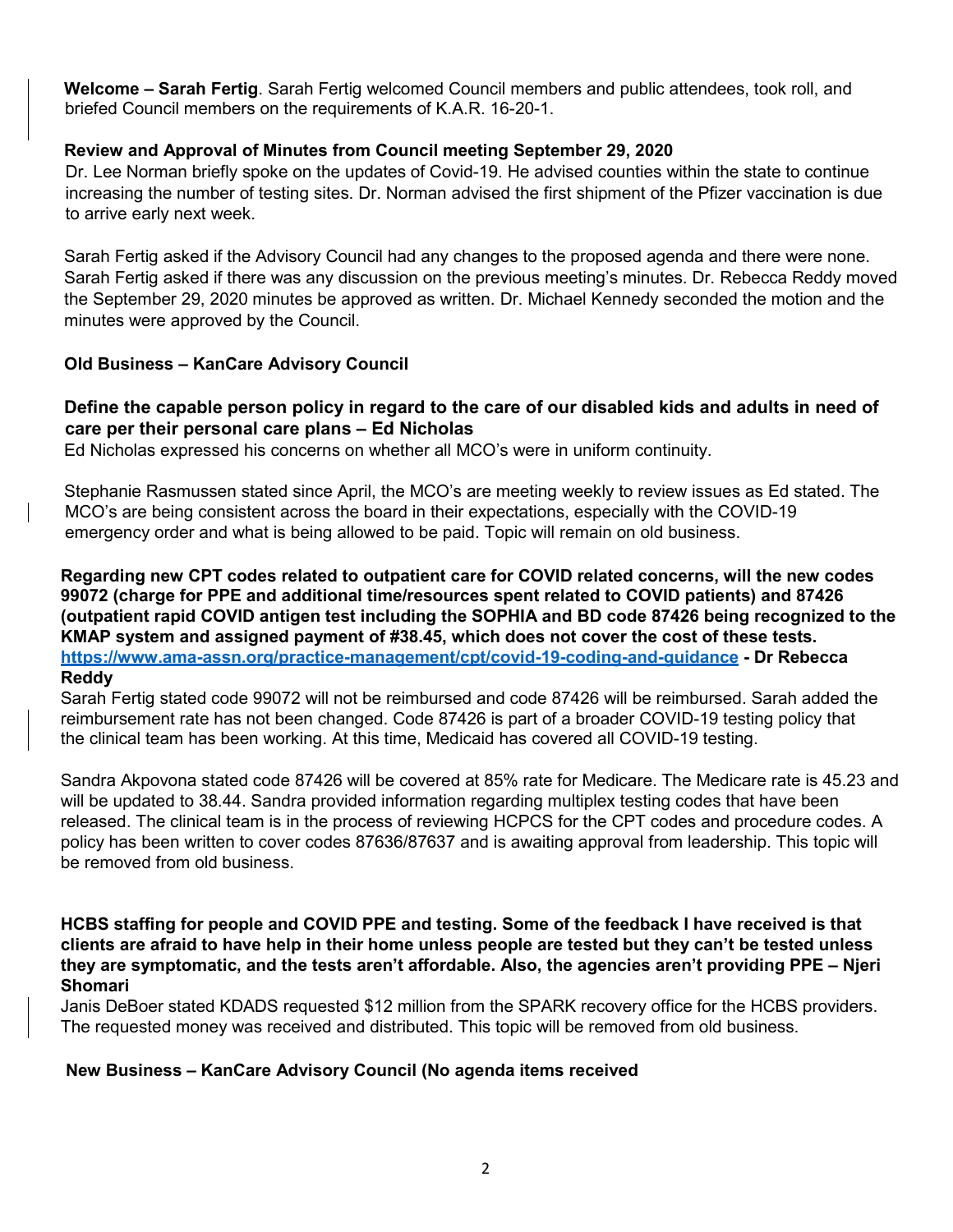**Welcome – Sarah Fertig**. Sarah Fertig welcomed Council members and public attendees, took roll, and briefed Council members on the requirements of K.A.R. 16-20-1.

# **Review and Approval of Minutes from Council meeting September 29, 2020**

Dr. Lee Norman briefly spoke on the updates of Covid-19. He advised counties within the state to continue increasing the number of testing sites. Dr. Norman advised the first shipment of the Pfizer vaccination is due to arrive early next week.

Sarah Fertig asked if the Advisory Council had any changes to the proposed agenda and there were none. Sarah Fertig asked if there was any discussion on the previous meeting's minutes. Dr. Rebecca Reddy moved the September 29, 2020 minutes be approved as written. Dr. Michael Kennedy seconded the motion and the minutes were approved by the Council.

# **Old Business – KanCare Advisory Council**

## **Define the capable person policy in regard to the care of our disabled kids and adults in need of care per their personal care plans – Ed Nicholas**

Ed Nicholas expressed his concerns on whether all MCO's were in uniform continuity.

Stephanie Rasmussen stated since April, the MCO's are meeting weekly to review issues as Ed stated. The MCO's are being consistent across the board in their expectations, especially with the COVID-19 emergency order and what is being allowed to be paid. Topic will remain on old business.

**Regarding new CPT codes related to outpatient care for COVID related concerns, will the new codes 99072 (charge for PPE and additional time/resources spent related to COVID patients) and 87426 (outpatient rapid COVID antigen test including the SOPHIA and BD code 87426 being recognized to the KMAP system and assigned payment of #38.45, which does not cover the cost of these tests. <https://www.ama-assn.org/practice-management/cpt/covid-19-coding-and-guidance> - Dr Rebecca Reddy**

Sarah Fertig stated code 99072 will not be reimbursed and code 87426 will be reimbursed. Sarah added the reimbursement rate has not been changed. Code 87426 is part of a broader COVID-19 testing policy that the clinical team has been working. At this time, Medicaid has covered all COVID-19 testing.

Sandra Akpovona stated code 87426 will be covered at 85% rate for Medicare. The Medicare rate is 45.23 and will be updated to 38.44. Sandra provided information regarding multiplex testing codes that have been released. The clinical team is in the process of reviewing HCPCS for the CPT codes and procedure codes. A policy has been written to cover codes 87636/87637 and is awaiting approval from leadership. This topic will be removed from old business.

#### **HCBS staffing for people and COVID PPE and testing. Some of the feedback I have received is that clients are afraid to have help in their home unless people are tested but they can't be tested unless they are symptomatic, and the tests aren't affordable. Also, the agencies aren't providing PPE – Njeri Shomari**

Janis DeBoer stated KDADS requested \$12 million from the SPARK recovery office for the HCBS providers. The requested money was received and distributed. This topic will be removed from old business.

#### **New Business – KanCare Advisory Council (No agenda items received**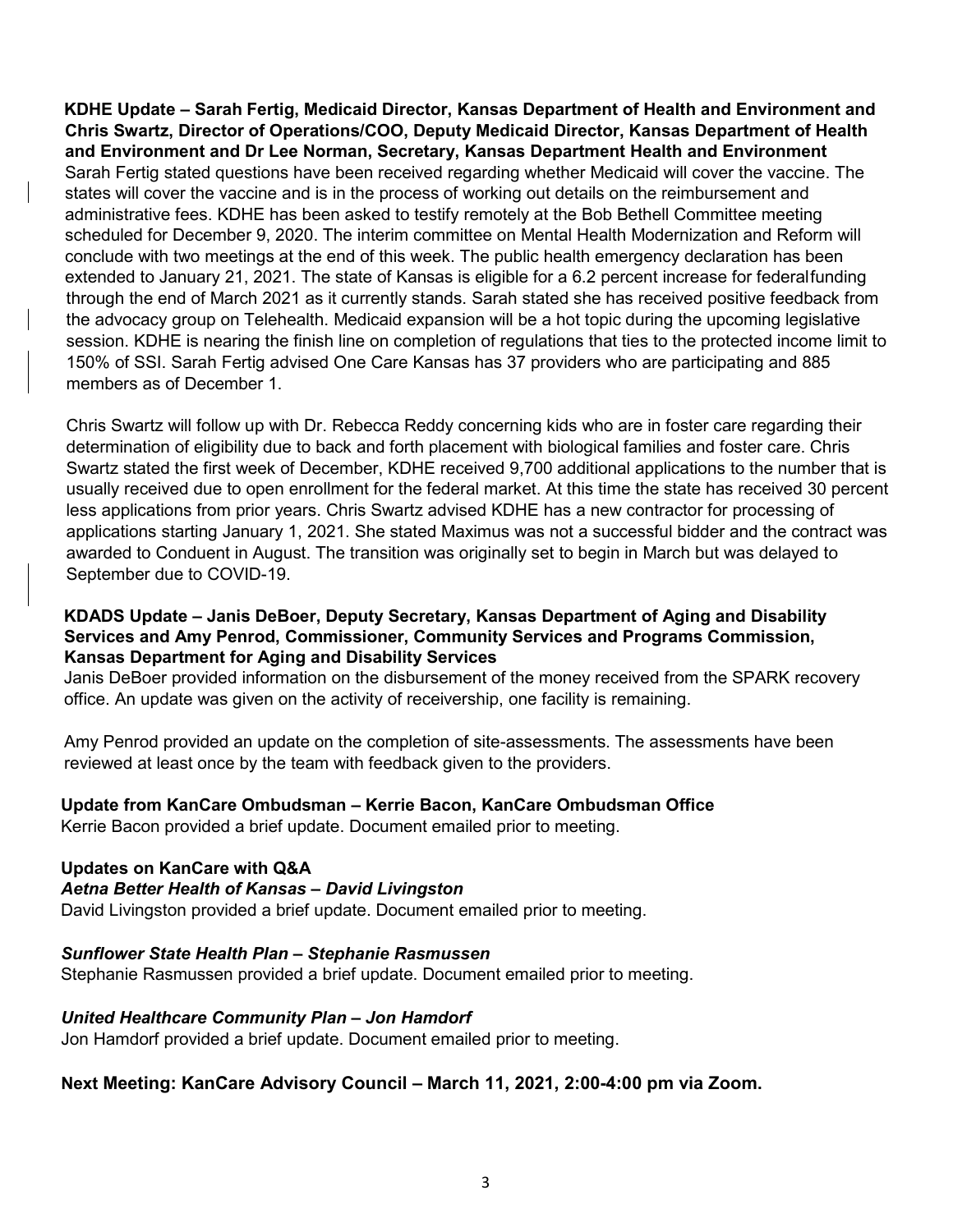**KDHE Update – Sarah Fertig, Medicaid Director, Kansas Department of Health and Environment and Chris Swartz, Director of Operations/COO, Deputy Medicaid Director, Kansas Department of Health and Environment and Dr Lee Norman, Secretary, Kansas Department Health and Environment**  Sarah Fertig stated questions have been received regarding whether Medicaid will cover the vaccine. The states will cover the vaccine and is in the process of working out details on the reimbursement and administrative fees. KDHE has been asked to testify remotely at the Bob Bethell Committee meeting scheduled for December 9, 2020. The interim committee on Mental Health Modernization and Reform will conclude with two meetings at the end of this week. The public health emergency declaration has been extended to January 21, 2021. The state of Kansas is eligible for a 6.2 percent increase for federalfunding through the end of March 2021 as it currently stands. Sarah stated she has received positive feedback from the advocacy group on Telehealth. Medicaid expansion will be a hot topic during the upcoming legislative session. KDHE is nearing the finish line on completion of regulations that ties to the protected income limit to 150% of SSI. Sarah Fertig advised One Care Kansas has 37 providers who are participating and 885 members as of December 1.

Chris Swartz will follow up with Dr. Rebecca Reddy concerning kids who are in foster care regarding their determination of eligibility due to back and forth placement with biological families and foster care. Chris Swartz stated the first week of December, KDHE received 9,700 additional applications to the number that is usually received due to open enrollment for the federal market. At this time the state has received 30 percent less applications from prior years. Chris Swartz advised KDHE has a new contractor for processing of applications starting January 1, 2021. She stated Maximus was not a successful bidder and the contract was awarded to Conduent in August. The transition was originally set to begin in March but was delayed to September due to COVID-19.

#### **KDADS Update – Janis DeBoer, Deputy Secretary, Kansas Department of Aging and Disability Services and Amy Penrod, Commissioner, Community Services and Programs Commission, Kansas Department for Aging and Disability Services**

Janis DeBoer provided information on the disbursement of the money received from the SPARK recovery office. An update was given on the activity of receivership, one facility is remaining.

Amy Penrod provided an update on the completion of site-assessments. The assessments have been reviewed at least once by the team with feedback given to the providers.

# **Update from KanCare Ombudsman – Kerrie Bacon, KanCare Ombudsman Office**

Kerrie Bacon provided a brief update. Document emailed prior to meeting.

#### **Updates on KanCare with Q&A**

#### *Aetna Better Health of Kansas – David Livingston*

David Livingston provided a brief update. Document emailed prior to meeting.

#### *Sunflower State Health Plan – Stephanie Rasmussen*

Stephanie Rasmussen provided a brief update. Document emailed prior to meeting.

#### *United Healthcare Community Plan – Jon Hamdorf*

Jon Hamdorf provided a brief update. Document emailed prior to meeting.

#### **Next Meeting: KanCare Advisory Council – March 11, 2021, 2:00-4:00 pm via Zoom.**